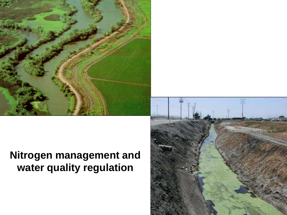

# **Nitrogen management and water quality regulation**

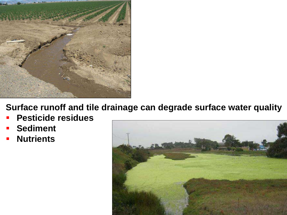

**Surface runoff and tile drainage can degrade surface water quality**

- **Pesticide residues**
- **Sediment**
- **Nutrients**

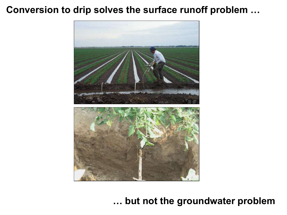### **Conversion to drip solves the surface runoff problem …**



**… but not the groundwater problem**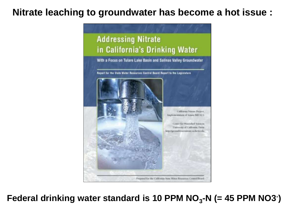### **Nitrate leaching to groundwater has become a hot issue :**



Federal drinking water standard is 10 PPM NO<sub>3</sub>-N (= 45 PPM NO3<sup>-</sup>)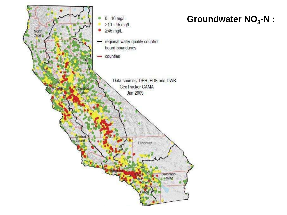

## Groundwater NO<sub>3</sub>-N :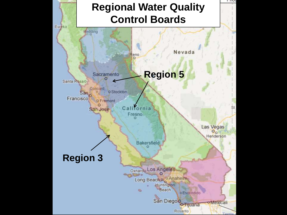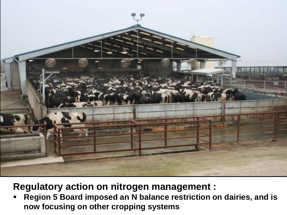

**Regulatory action on nitrogen management :**

 **Region 5 Board imposed an N balance restriction on dairies, and is now focusing on other cropping systems**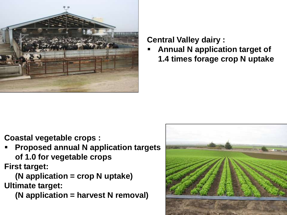

#### **Central Valley dairy :**

 **Annual N application target of 1.4 times forage crop N uptake**

**Coastal vegetable crops :**

 **Proposed annual N application targets of 1.0 for vegetable crops First target:** 

 **(N application = crop N uptake) Ultimate target:**

 **(N application = harvest N removal)**

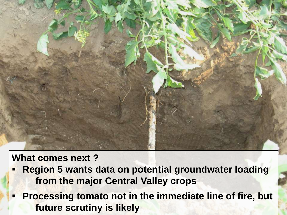

**What comes next ?**

- **Region 5 wants data on potential groundwater loading from the major Central Valley crops**
- **Processing tomato not in the immediate line of fire, but future scrutiny is likely**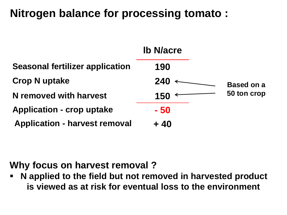# **Nitrogen balance for processing tomato :**



# **Why focus on harvest removal ?**

 **N applied to the field but not removed in harvested product is viewed as at risk for eventual loss to the environment**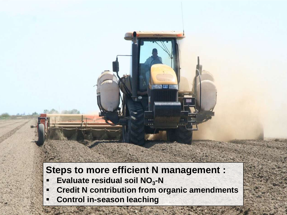# **Steps to more efficient N management :**

- **Evaluate residual soil NO<sub>3</sub>-N**
- **Credit N contribution from organic amendments**
- **Control in-season leaching**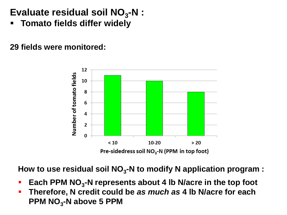# Evaluate residual soil NO<sub>3</sub>-N :

**Tomato fields differ widely** 

**29 fields were monitored:**



How to use residual soil NO<sub>3</sub>-N to modify N application program :

- **Each PPM NO<sub>3</sub>-N represents about 4 lb N/acre in the top foot**
- **Therefore, N credit could be** *as much as* **4 lb N/acre for each PPM NO<sup>3</sup> -N above 5 PPM**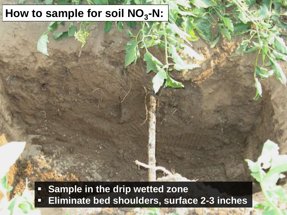# How to sample for soil NO<sub>3</sub>-N:

**Sample in the drip wetted zone Eliminate bed shoulders, surface 2-3 inches**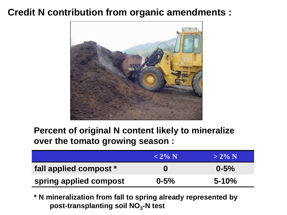## **Credit N contribution from organic amendments :**



### **Percent of original N content likely to mineralize over the tomato growing season :**

|                        | $< 2\%$ N | $> 2\% N$ |
|------------------------|-----------|-----------|
| fall applied compost * | $\bf{0}$  | $0 - 5\%$ |
| spring applied compost | $0 - 5\%$ | $5 - 10%$ |

**\* N mineralization from fall to spring already represented by post-transplanting soil NO<sup>3</sup> -N test**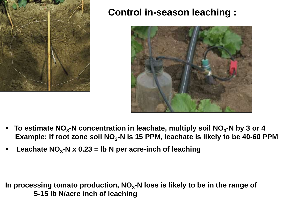

## **Control in-season leaching :**



- To estimate NO<sub>3</sub>-N concentration in leachate, multiply soil NO<sub>3</sub>-N by 3 or 4  **Example: If root zone soil NO<sup>3</sup> -N is 15 PPM, leachate is likely to be 40-60 PPM**
- **-** Leachate NO<sub>3</sub>-N x 0.23 = lb N per acre-inch of leaching

**In processing tomato production, NO<sup>3</sup> -N loss is likely to be in the range of 5-15 lb N/acre inch of leaching**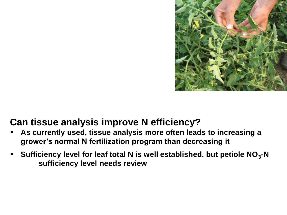

## **Can tissue analysis improve N efficiency?**

- **As currently used, tissue analysis more often leads to increasing a grower's normal N fertilization program than decreasing it**
- **-** Sufficiency level for leaf total N is well established, but petiole NO<sub>3</sub>-N **sufficiency level needs review**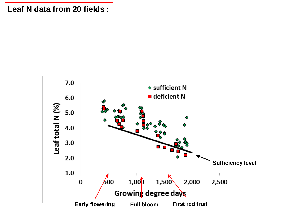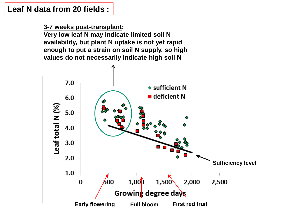**3-7 weeks post-transplant:**

**Very low leaf N may indicate limited soil N availability, but plant N uptake is not yet rapid enough to put a strain on soil N supply, so high values do not necessarily indicate high soil N**

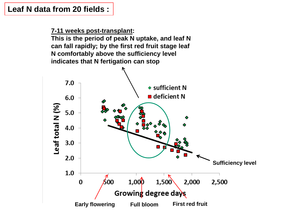**7-11 weeks post-transplant:**

**This is the period of peak N uptake, and leaf N can fall rapidly; by the first red fruit stage leaf N comfortably above the sufficiency level indicates that N fertigation can stop**

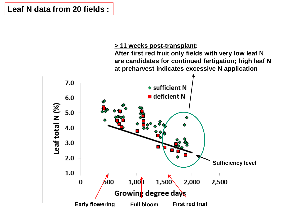#### **> 11 weeks post-transplant:**

**After first red fruit only fields with very low leaf N are candidates for continued fertigation; high leaf N at preharvest indicates excessive N application**

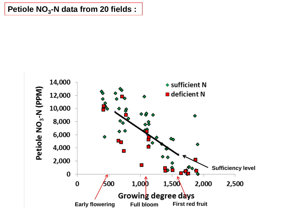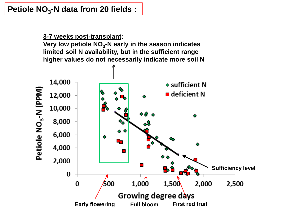**3-7 weeks post-transplant:**

**Very low petiole NO<sup>3</sup> -N early in the season indicates limited soil N availability, but in the sufficient range higher values do not necessarily indicate more soil N** 

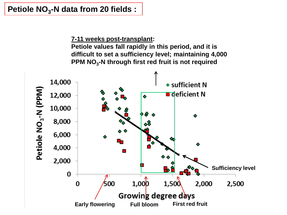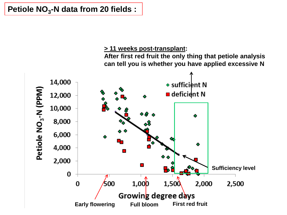